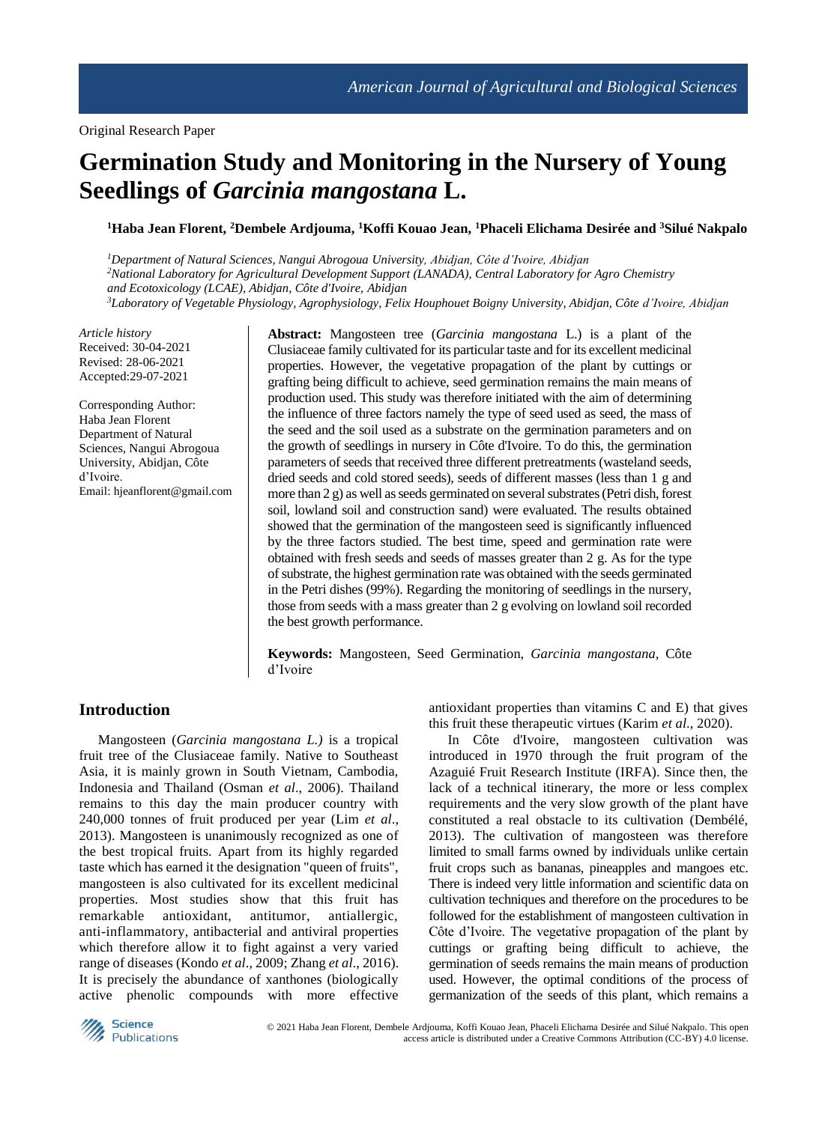# **Germination Study and Monitoring in the Nursery of Young Seedlings of** *Garcinia mangostana* **L.**

**<sup>1</sup>Haba Jean Florent, <sup>2</sup>Dembele Ardjouma, <sup>1</sup>Koffi Kouao Jean, <sup>1</sup>Phaceli Elichama Desirée and <sup>3</sup>Silué Nakpalo**

*Department of Natural Sciences, Nangui Abrogoua University, Abidjan, Côte d'Ivoire, Abidjan National Laboratory for Agricultural Development Support (LANADA), Central Laboratory for Agro Chemistry and Ecotoxicology (LCAE), Abidjan, Côte d'Ivoire, Abidjan Laboratory of Vegetable Physiology, Agrophysiology, Felix Houphouet Boigny University, Abidjan, Côte d'Ivoire, Abidjan*

*Article history* Received: 30-04-2021 Revised: 28-06-2021 Accepted:29-07-2021

Corresponding Author: Haba Jean Florent Department of Natural Sciences, Nangui Abrogoua University, Abidjan, Côte d'Ivoire. Email: hjeanflorent@gmail.com **Abstract:** Mangosteen tree (*Garcinia mangostana* L.) is a plant of the Clusiaceae family cultivated for its particular taste and for its excellent medicinal properties. However, the vegetative propagation of the plant by cuttings or grafting being difficult to achieve, seed germination remains the main means of production used. This study was therefore initiated with the aim of determining the influence of three factors namely the type of seed used as seed, the mass of the seed and the soil used as a substrate on the germination parameters and on the growth of seedlings in nursery in Côte d'Ivoire. To do this, the germination parameters of seeds that received three different pretreatments (wasteland seeds, dried seeds and cold stored seeds), seeds of different masses (less than 1 g and more than 2 g) as well as seeds germinated on several substrates (Petri dish, forest soil, lowland soil and construction sand) were evaluated. The results obtained showed that the germination of the mangosteen seed is significantly influenced by the three factors studied. The best time, speed and germination rate were obtained with fresh seeds and seeds of masses greater than 2 g. As for the type of substrate, the highest germination rate was obtained with the seeds germinated in the Petri dishes (99%). Regarding the monitoring of seedlings in the nursery, those from seeds with a mass greater than 2 g evolving on lowland soil recorded the best growth performance.

**Keywords:** Mangosteen, Seed Germination, *Garcinia mangostana,* Côte d'Ivoire

# **Introduction**

Mangosteen (*Garcinia mangostana L.)* is a tropical fruit tree of the Clusiaceae family. Native to Southeast Asia, it is mainly grown in South Vietnam, Cambodia, Indonesia and Thailand (Osman *et al*., 2006). Thailand remains to this day the main producer country with 240,000 tonnes of fruit produced per year (Lim *et al*., 2013). Mangosteen is unanimously recognized as one of the best tropical fruits. Apart from its highly regarded taste which has earned it the designation "queen of fruits", mangosteen is also cultivated for its excellent medicinal properties. Most studies show that this fruit has remarkable antioxidant, antitumor, antiallergic, anti-inflammatory, antibacterial and antiviral properties which therefore allow it to fight against a very varied range of diseases (Kondo *et al*., 2009; Zhang *et al*., 2016). It is precisely the abundance of xanthones (biologically active phenolic compounds with more effective

antioxidant properties than vitamins C and E) that gives this fruit these therapeutic virtues (Karim *et al*., 2020).

In Côte d'Ivoire, mangosteen cultivation was introduced in 1970 through the fruit program of the Azaguié Fruit Research Institute (IRFA). Since then, the lack of a technical itinerary, the more or less complex requirements and the very slow growth of the plant have constituted a real obstacle to its cultivation (Dembélé, 2013). The cultivation of mangosteen was therefore limited to small farms owned by individuals unlike certain fruit crops such as bananas, pineapples and mangoes etc. There is indeed very little information and scientific data on cultivation techniques and therefore on the procedures to be followed for the establishment of mangosteen cultivation in Côte d'Ivoire. The vegetative propagation of the plant by cuttings or grafting being difficult to achieve, the germination of seeds remains the main means of production used. However, the optimal conditions of the process of germanization of the seeds of this plant, which remains a

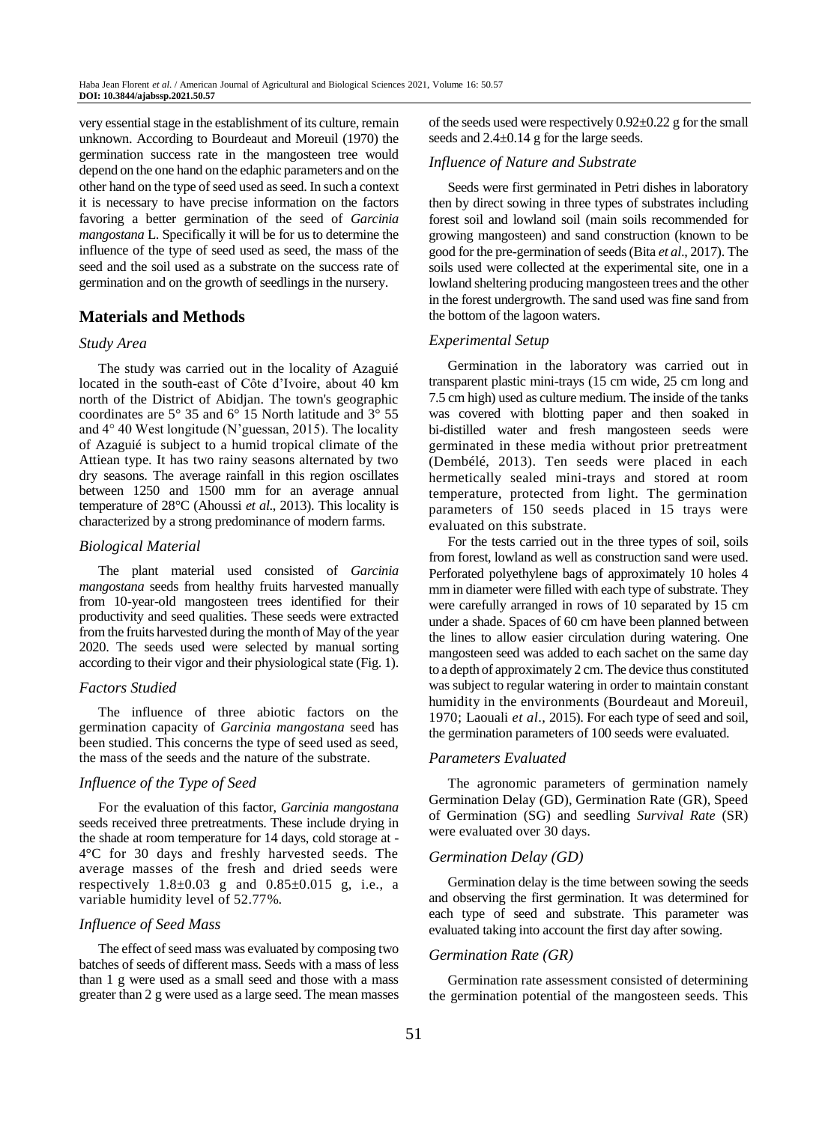very essential stage in the establishment of its culture, remain unknown. According to Bourdeaut and Moreuil (1970) the germination success rate in the mangosteen tree would depend on the one hand on the edaphic parameters and on the other hand on the type of seed used as seed. In such a context it is necessary to have precise information on the factors favoring a better germination of the seed of *Garcinia mangostana* L. Specifically it will be for us to determine the influence of the type of seed used as seed, the mass of the seed and the soil used as a substrate on the success rate of germination and on the growth of seedlings in the nursery.

# **Materials and Methods**

# *Study Area*

The study was carried out in the locality of Azaguié located in the south-east of Côte d'Ivoire, about 40 km north of the District of Abidjan. The town's geographic coordinates are 5° 35 and 6° 15 North latitude and 3° 55 and 4° 40 West longitude (N'guessan, 2015). The locality of Azaguié is subject to a humid tropical climate of the Attiean type. It has two rainy seasons alternated by two dry seasons. The average rainfall in this region oscillates between 1250 and 1500 mm for an average annual temperature of 28°C (Ahoussi *et al*., 2013). This locality is characterized by a strong predominance of modern farms.

## *Biological Material*

The plant material used consisted of *Garcinia mangostana* seeds from healthy fruits harvested manually from 10-year-old mangosteen trees identified for their productivity and seed qualities. These seeds were extracted from the fruits harvested during the month of May of the year 2020. The seeds used were selected by manual sorting according to their vigor and their physiological state (Fig. 1).

#### *Factors Studied*

The influence of three abiotic factors on the germination capacity of *Garcinia mangostana* seed has been studied. This concerns the type of seed used as seed, the mass of the seeds and the nature of the substrate.

# *Influence of the Type of Seed*

For the evaluation of this factor, *Garcinia mangostana* seeds received three pretreatments. These include drying in the shade at room temperature for 14 days, cold storage at - 4°C for 30 days and freshly harvested seeds. The average masses of the fresh and dried seeds were respectively  $1.8\pm0.03$  g and  $0.85\pm0.015$  g, i.e., a variable humidity level of 52.77%.

#### *Influence of Seed Mass*

The effect of seed mass was evaluated by composing two batches of seeds of different mass. Seeds with a mass of less than 1 g were used as a small seed and those with a mass greater than 2 g were used as a large seed. The mean masses

of the seeds used were respectively  $0.92\pm0.22$  g for the small seeds and  $2.4\pm0.14$  g for the large seeds.

## *Influence of Nature and Substrate*

Seeds were first germinated in Petri dishes in laboratory then by direct sowing in three types of substrates including forest soil and lowland soil (main soils recommended for growing mangosteen) and sand construction (known to be good for the pre-germination of seeds (Bita *et al*., 2017). The soils used were collected at the experimental site, one in a lowland sheltering producing mangosteen trees and the other in the forest undergrowth. The sand used was fine sand from the bottom of the lagoon waters.

#### *Experimental Setup*

Germination in the laboratory was carried out in transparent plastic mini-trays (15 cm wide, 25 cm long and 7.5 cm high) used as culture medium. The inside of the tanks was covered with blotting paper and then soaked in bi-distilled water and fresh mangosteen seeds were germinated in these media without prior pretreatment (Dembélé, 2013). Ten seeds were placed in each hermetically sealed mini-trays and stored at room temperature, protected from light. The germination parameters of 150 seeds placed in 15 trays were evaluated on this substrate.

For the tests carried out in the three types of soil, soils from forest, lowland as well as construction sand were used. Perforated polyethylene bags of approximately 10 holes 4 mm in diameter were filled with each type of substrate. They were carefully arranged in rows of 10 separated by 15 cm under a shade. Spaces of 60 cm have been planned between the lines to allow easier circulation during watering. One mangosteen seed was added to each sachet on the same day to a depth of approximately 2 cm. The device thus constituted was subject to regular watering in order to maintain constant humidity in the environments (Bourdeaut and Moreuil, 1970; Laouali *et al*., 2015). For each type of seed and soil, the germination parameters of 100 seeds were evaluated.

#### *Parameters Evaluated*

The agronomic parameters of germination namely Germination Delay (GD), Germination Rate (GR), Speed of Germination (SG) and seedling *Survival Rate* (SR) were evaluated over 30 days.

#### *Germination Delay (GD)*

Germination delay is the time between sowing the seeds and observing the first germination. It was determined for each type of seed and substrate. This parameter was evaluated taking into account the first day after sowing.

#### *Germination Rate (GR)*

Germination rate assessment consisted of determining the germination potential of the mangosteen seeds. This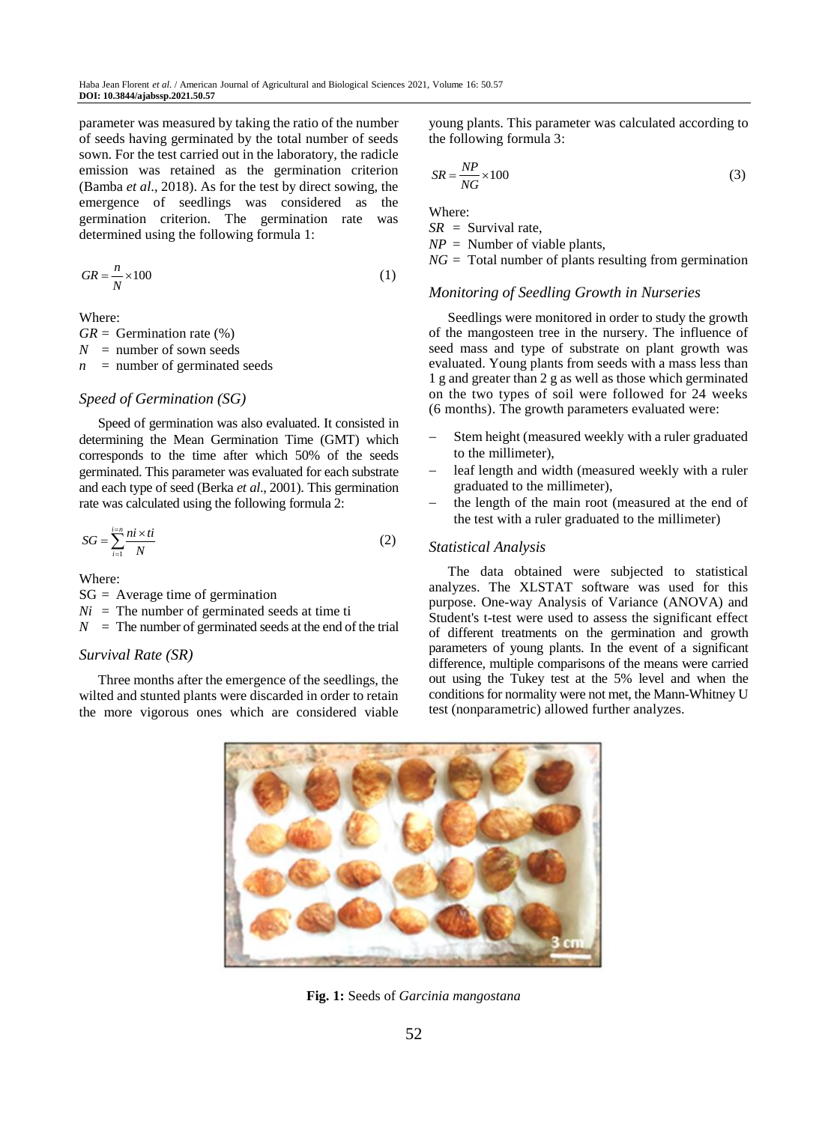parameter was measured by taking the ratio of the number of seeds having germinated by the total number of seeds sown. For the test carried out in the laboratory, the radicle emission was retained as the germination criterion (Bamba *et al*., 2018). As for the test by direct sowing, the emergence of seedlings was considered as the germination criterion. The germination rate was determined using the following formula 1:

$$
GR = \frac{n}{N} \times 100\tag{1}
$$

Where:

 $GR = Germanization rate (%)$  $N =$  number of sown seeds  $n =$  number of germinated seeds

# *Speed of Germination (SG)*

Speed of germination was also evaluated. It consisted in determining the Mean Germination Time (GMT) which corresponds to the time after which 50% of the seeds germinated. This parameter was evaluated for each substrate and each type of seed (Berka *et al*., 2001). This germination rate was calculated using the following formula 2:

$$
SG = \sum_{i=1}^{i=n} \frac{ni \times ti}{N}
$$
 (2)

Where:

 $SG = Average time of germination$  $Ni =$ The number of germinated seeds at time ti  $N =$ The number of germinated seeds at the end of the trial

# *Survival Rate (SR)*

Three months after the emergence of the seedlings, the wilted and stunted plants were discarded in order to retain the more vigorous ones which are considered viable

young plants. This parameter was calculated according to the following formula 3:

$$
SR = \frac{NP}{NG} \times 100\tag{3}
$$

Where:

*SR* = Survival rate, *NP* = Number of viable plants, *NG* = Total number of plants resulting from germination

## *Monitoring of Seedling Growth in Nurseries*

Seedlings were monitored in order to study the growth of the mangosteen tree in the nursery. The influence of seed mass and type of substrate on plant growth was evaluated. Young plants from seeds with a mass less than 1 g and greater than 2 g as well as those which germinated on the two types of soil were followed for 24 weeks (6 months). The growth parameters evaluated were:

- Stem height (measured weekly with a ruler graduated to the millimeter),
- leaf length and width (measured weekly with a ruler graduated to the millimeter),
- the length of the main root (measured at the end of the test with a ruler graduated to the millimeter)

# *Statistical Analysis*

The data obtained were subjected to statistical analyzes. The XLSTAT software was used for this purpose. One-way Analysis of Variance (ANOVA) and Student's t-test were used to assess the significant effect of different treatments on the germination and growth parameters of young plants. In the event of a significant difference, multiple comparisons of the means were carried out using the Tukey test at the 5% level and when the conditions for normality were not met, the Mann-Whitney U test (nonparametric) allowed further analyzes.



**Fig. 1:** Seeds of *Garcinia mangostana*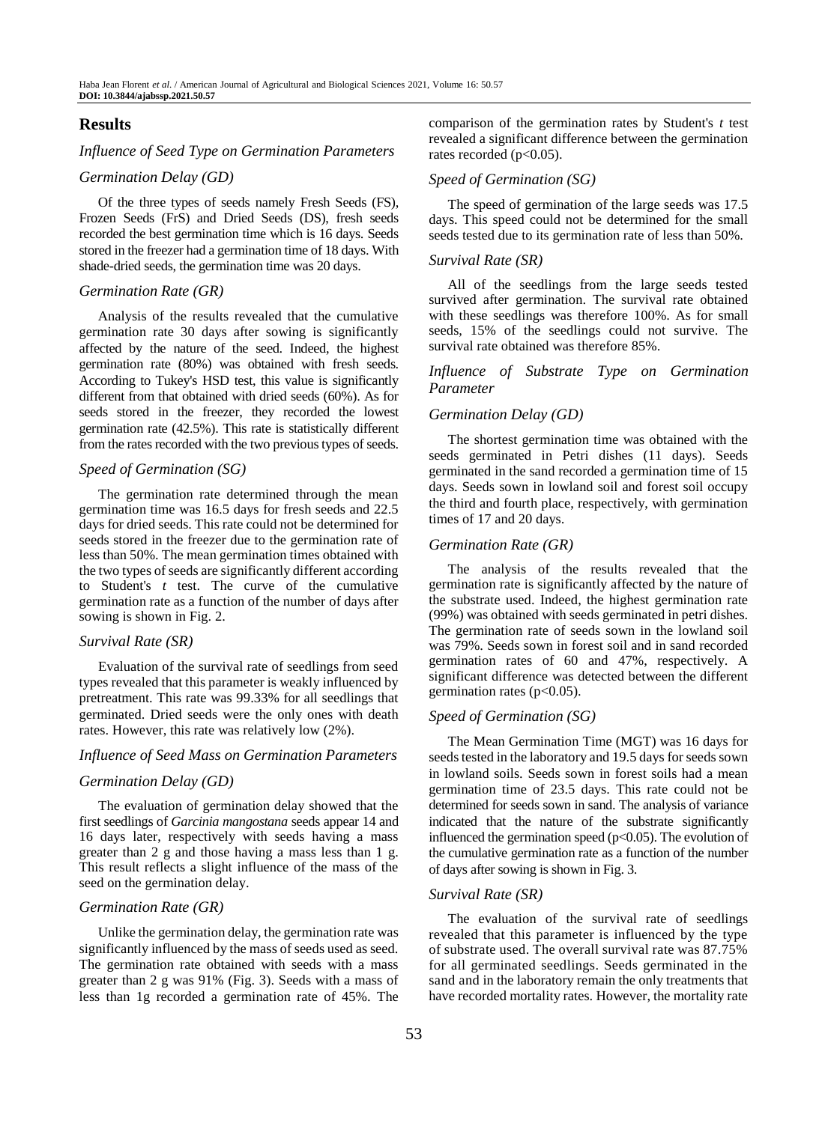# **Results**

#### *Influence of Seed Type on Germination Parameters*

#### *Germination Delay (GD)*

Of the three types of seeds namely Fresh Seeds (FS), Frozen Seeds (FrS) and Dried Seeds (DS), fresh seeds recorded the best germination time which is 16 days. Seeds stored in the freezer had a germination time of 18 days. With shade-dried seeds, the germination time was 20 days.

#### *Germination Rate (GR)*

Analysis of the results revealed that the cumulative germination rate 30 days after sowing is significantly affected by the nature of the seed. Indeed, the highest germination rate (80%) was obtained with fresh seeds. According to Tukey's HSD test, this value is significantly different from that obtained with dried seeds (60%). As for seeds stored in the freezer, they recorded the lowest germination rate (42.5%). This rate is statistically different from the rates recorded with the two previous types of seeds.

#### *Speed of Germination (SG)*

The germination rate determined through the mean germination time was 16.5 days for fresh seeds and 22.5 days for dried seeds. This rate could not be determined for seeds stored in the freezer due to the germination rate of less than 50%. The mean germination times obtained with the two types of seeds are significantly different according to Student's *t* test. The curve of the cumulative germination rate as a function of the number of days after sowing is shown in Fig. 2.

## *Survival Rate (SR)*

Evaluation of the survival rate of seedlings from seed types revealed that this parameter is weakly influenced by pretreatment. This rate was 99.33% for all seedlings that germinated. Dried seeds were the only ones with death rates. However, this rate was relatively low (2%).

#### *Influence of Seed Mass on Germination Parameters*

#### *Germination Delay (GD)*

The evaluation of germination delay showed that the first seedlings of *Garcinia mangostana* seeds appear 14 and 16 days later, respectively with seeds having a mass greater than 2 g and those having a mass less than 1 g. This result reflects a slight influence of the mass of the seed on the germination delay.

#### *Germination Rate (GR)*

Unlike the germination delay, the germination rate was significantly influenced by the mass of seeds used as seed. The germination rate obtained with seeds with a mass greater than 2 g was 91% (Fig. 3). Seeds with a mass of less than 1g recorded a germination rate of 45%. The comparison of the germination rates by Student's *t* test revealed a significant difference between the germination rates recorded  $(p<0.05)$ .

#### *Speed of Germination (SG)*

The speed of germination of the large seeds was 17.5 days. This speed could not be determined for the small seeds tested due to its germination rate of less than 50%.

#### *Survival Rate (SR)*

All of the seedlings from the large seeds tested survived after germination. The survival rate obtained with these seedlings was therefore 100%. As for small seeds, 15% of the seedlings could not survive. The survival rate obtained was therefore 85%.

# *Influence of Substrate Type on Germination Parameter*

#### *Germination Delay (GD)*

The shortest germination time was obtained with the seeds germinated in Petri dishes (11 days). Seeds germinated in the sand recorded a germination time of 15 days. Seeds sown in lowland soil and forest soil occupy the third and fourth place, respectively, with germination times of 17 and 20 days.

#### *Germination Rate (GR)*

The analysis of the results revealed that the germination rate is significantly affected by the nature of the substrate used. Indeed, the highest germination rate (99%) was obtained with seeds germinated in petri dishes. The germination rate of seeds sown in the lowland soil was 79%. Seeds sown in forest soil and in sand recorded germination rates of 60 and 47%, respectively. A significant difference was detected between the different germination rates  $(p<0.05)$ .

#### *Speed of Germination (SG)*

The Mean Germination Time (MGT) was 16 days for seeds tested in the laboratory and 19.5 days for seeds sown in lowland soils. Seeds sown in forest soils had a mean germination time of 23.5 days. This rate could not be determined for seeds sown in sand. The analysis of variance indicated that the nature of the substrate significantly influenced the germination speed  $(p<0.05)$ . The evolution of the cumulative germination rate as a function of the number of days after sowing is shown in Fig. 3.

# *Survival Rate (SR)*

The evaluation of the survival rate of seedlings revealed that this parameter is influenced by the type of substrate used. The overall survival rate was 87.75% for all germinated seedlings. Seeds germinated in the sand and in the laboratory remain the only treatments that have recorded mortality rates. However, the mortality rate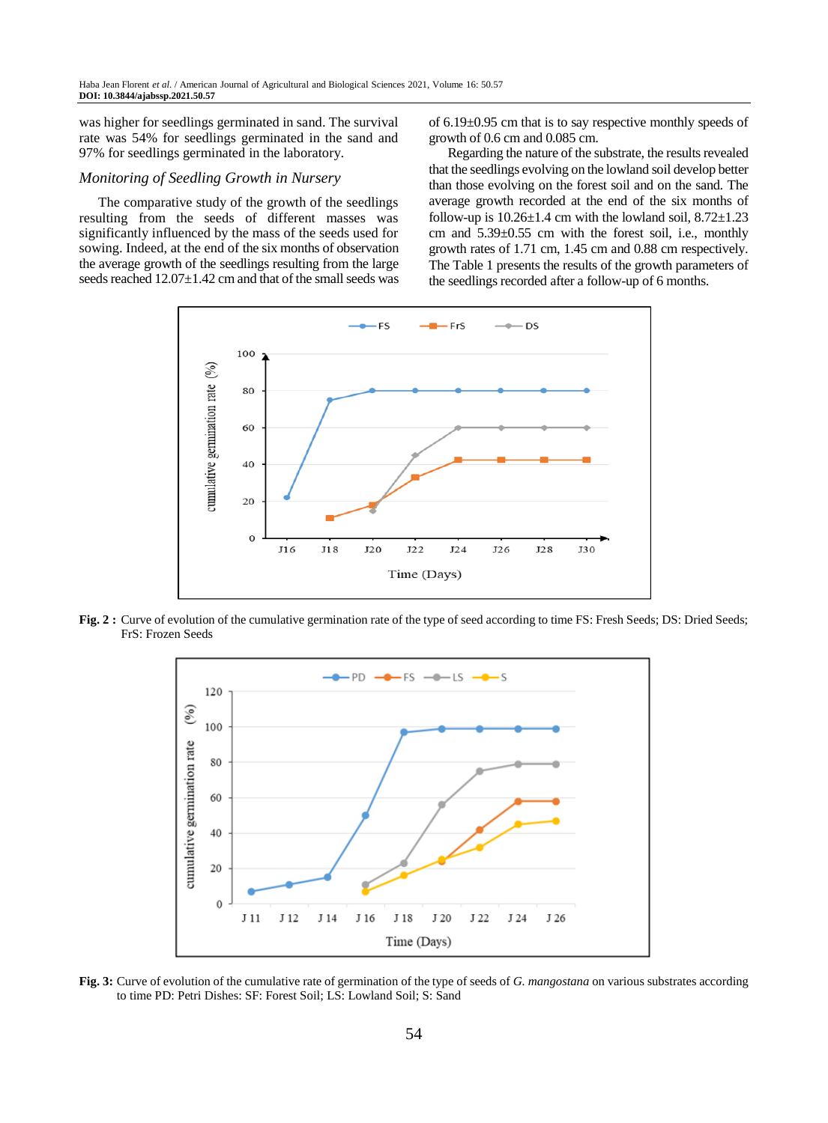was higher for seedlings germinated in sand. The survival rate was 54% for seedlings germinated in the sand and 97% for seedlings germinated in the laboratory.

#### *Monitoring of Seedling Growth in Nursery*

The comparative study of the growth of the seedlings resulting from the seeds of different masses was significantly influenced by the mass of the seeds used for sowing. Indeed, at the end of the six months of observation the average growth of the seedlings resulting from the large seeds reached  $12.07 \pm 1.42$  cm and that of the small seeds was of 6.19±0.95 cm that is to say respective monthly speeds of growth of 0.6 cm and 0.085 cm.

Regarding the nature of the substrate, the results revealed that the seedlings evolving on the lowland soil develop better than those evolving on the forest soil and on the sand. The average growth recorded at the end of the six months of follow-up is  $10.26 \pm 1.4$  cm with the lowland soil,  $8.72 \pm 1.23$ cm and 5.39±0.55 cm with the forest soil, i.e., monthly growth rates of 1.71 cm, 1.45 cm and 0.88 cm respectively. The Table 1 presents the results of the growth parameters of the seedlings recorded after a follow-up of 6 months.



**Fig. 2 :** Curve of evolution of the cumulative germination rate of the type of seed according to time FS: Fresh Seeds; DS: Dried Seeds; FrS: Frozen Seeds



**Fig. 3:** Curve of evolution of the cumulative rate of germination of the type of seeds of *G. mangostana* on various substrates according to time PD: Petri Dishes: SF: Forest Soil; LS: Lowland Soil; S: Sand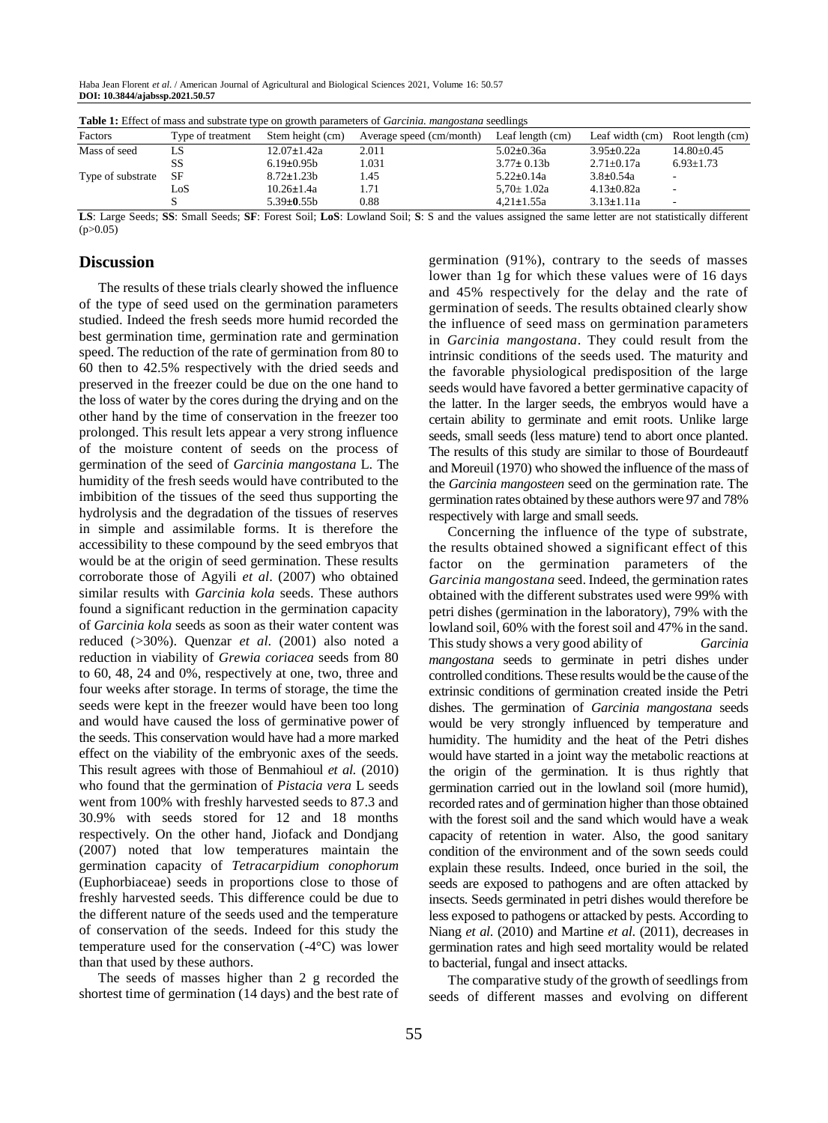Haba Jean Florent *et al*. / American Journal of Agricultural and Biological Sciences 2021, Volume 16: 50.57 **DOI: 10.3844/ajabssp.2021.50.57**

| <b>Table 1:</b> Effect of mass and substrate type on growth parameters of <i>Garcinia. mangostana</i> seedlings |                   |                   |                          |                    |                  |                          |
|-----------------------------------------------------------------------------------------------------------------|-------------------|-------------------|--------------------------|--------------------|------------------|--------------------------|
| Factors                                                                                                         | Type of treatment | Stem height (cm)  | Average speed (cm/month) | Leaf length $(cm)$ | Leaf width (cm)  | Root length (cm)         |
| Mass of seed                                                                                                    | LS                | $12.07 \pm 1.42a$ | 2.011                    | $5.02 \pm 0.36a$   | $3.95 \pm 0.22a$ | $14.80 \pm 0.45$         |
|                                                                                                                 | SS                | $6.19 \pm 0.95 b$ | 1.031                    | $3.77 \pm 0.13b$   | $2.71 \pm 0.17a$ | $6.93 \pm 1.73$          |
| Type of substrate                                                                                               | SF                | $8.72 \pm 1.23b$  | 1.45                     | $5.22 \pm 0.14a$   | $3.8 \pm 0.54a$  |                          |
|                                                                                                                 | LoS               | $10.26 \pm 1.4a$  | 1.71                     | $5.70 \pm 1.02a$   | $4.13 \pm 0.82a$ | $\sim$                   |
|                                                                                                                 |                   | $5.39 \pm 0.55 b$ | 0.88                     | $4.21 \pm 1.55a$   | $3.13 \pm 1.11a$ | $\overline{\phantom{a}}$ |

**LS**: Large Seeds; **SS**: Small Seeds; **SF**: Forest Soil; **LoS**: Lowland Soil; **S**: S and the values assigned the same letter are not statistically different  $(p>0.05)$ 

# **Discussion**

The results of these trials clearly showed the influence of the type of seed used on the germination parameters studied. Indeed the fresh seeds more humid recorded the best germination time, germination rate and germination speed. The reduction of the rate of germination from 80 to 60 then to 42.5% respectively with the dried seeds and preserved in the freezer could be due on the one hand to the loss of water by the cores during the drying and on the other hand by the time of conservation in the freezer too prolonged. This result lets appear a very strong influence of the moisture content of seeds on the process of germination of the seed of *Garcinia mangostana* L. The humidity of the fresh seeds would have contributed to the imbibition of the tissues of the seed thus supporting the hydrolysis and the degradation of the tissues of reserves in simple and assimilable forms. It is therefore the accessibility to these compound by the seed embryos that would be at the origin of seed germination. These results corroborate those of Agyili *et al*. (2007) who obtained similar results with *Garcinia kola* seeds. These authors found a significant reduction in the germination capacity of *Garcinia kola* seeds as soon as their water content was reduced (>30%). Quenzar *et al*. (2001) also noted a reduction in viability of *Grewia coriacea* seeds from 80 to 60, 48, 24 and 0%, respectively at one, two, three and four weeks after storage. In terms of storage, the time the seeds were kept in the freezer would have been too long and would have caused the loss of germinative power of the seeds. This conservation would have had a more marked effect on the viability of the embryonic axes of the seeds. This result agrees with those of Benmahioul *et al*. (2010) who found that the germination of *Pistacia vera* L seeds went from 100% with freshly harvested seeds to 87.3 and 30.9% with seeds stored for 12 and 18 months respectively. On the other hand, Jiofack and Dondjang (2007) noted that low temperatures maintain the germination capacity of *Tetracarpidium conophorum* (Euphorbiaceae) seeds in proportions close to those of freshly harvested seeds. This difference could be due to the different nature of the seeds used and the temperature of conservation of the seeds. Indeed for this study the temperature used for the conservation (-4°C) was lower than that used by these authors.

The seeds of masses higher than 2 g recorded the shortest time of germination (14 days) and the best rate of germination (91%), contrary to the seeds of masses lower than 1g for which these values were of 16 days and 45% respectively for the delay and the rate of germination of seeds. The results obtained clearly show the influence of seed mass on germination parameters in *Garcinia mangostana*. They could result from the intrinsic conditions of the seeds used. The maturity and the favorable physiological predisposition of the large seeds would have favored a better germinative capacity of the latter. In the larger seeds, the embryos would have a certain ability to germinate and emit roots. Unlike large seeds, small seeds (less mature) tend to abort once planted. The results of this study are similar to those of Bourdeautf and Moreuil (1970) who showed the influence of the mass of the *Garcinia mangosteen* seed on the germination rate. The germination rates obtained by these authors were 97 and 78% respectively with large and small seeds.

Concerning the influence of the type of substrate, the results obtained showed a significant effect of this factor on the germination parameters of the *Garcinia mangostana* seed. Indeed, the germination rates obtained with the different substrates used were 99% with petri dishes (germination in the laboratory), 79% with the lowland soil, 60% with the forest soil and 47% in the sand. This study shows a very good ability of *Garcinia mangostana* seeds to germinate in petri dishes under controlled conditions. These results would be the cause of the extrinsic conditions of germination created inside the Petri dishes. The germination of *Garcinia mangostana* seeds would be very strongly influenced by temperature and humidity. The humidity and the heat of the Petri dishes would have started in a joint way the metabolic reactions at the origin of the germination. It is thus rightly that germination carried out in the lowland soil (more humid), recorded rates and of germination higher than those obtained with the forest soil and the sand which would have a weak capacity of retention in water. Also, the good sanitary condition of the environment and of the sown seeds could explain these results. Indeed, once buried in the soil, the seeds are exposed to pathogens and are often attacked by insects. Seeds germinated in petri dishes would therefore be less exposed to pathogens or attacked by pests. According to Niang *et al*. (2010) and Martine *et al*. (2011), decreases in germination rates and high seed mortality would be related to bacterial, fungal and insect attacks.

The comparative study of the growth of seedlings from seeds of different masses and evolving on different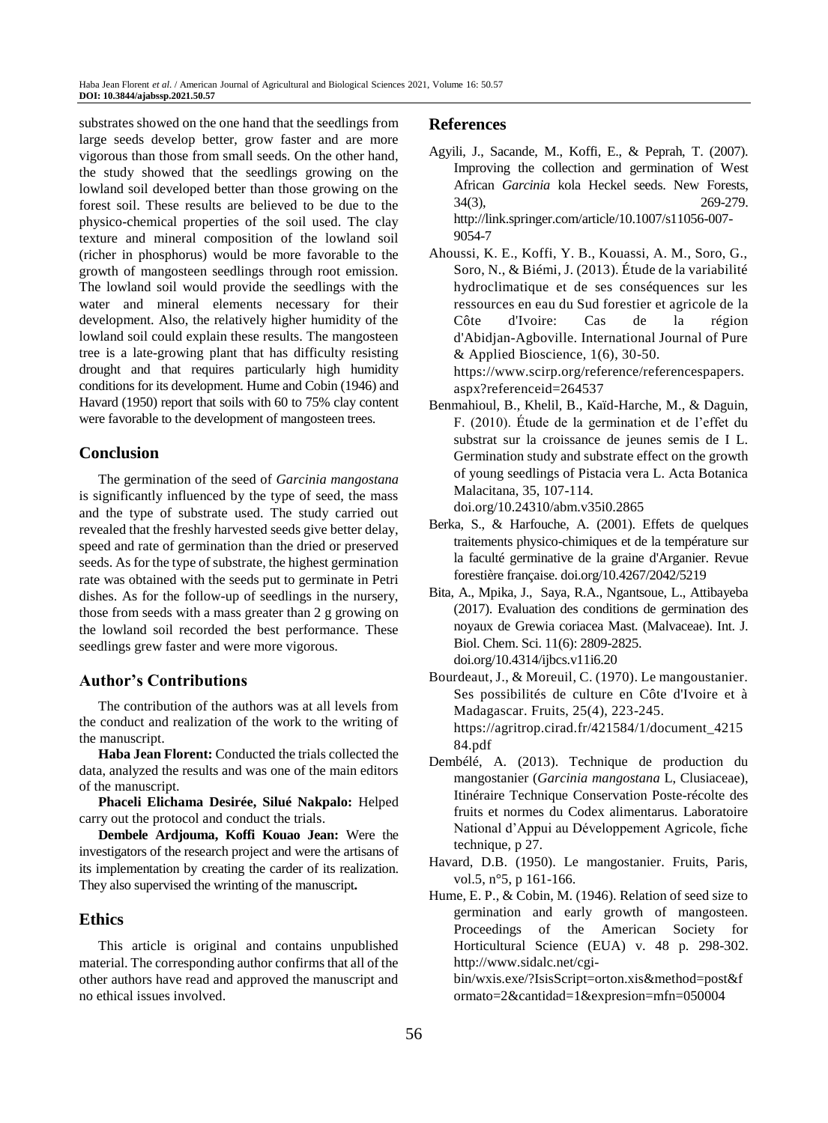substrates showed on the one hand that the seedlings from large seeds develop better, grow faster and are more vigorous than those from small seeds. On the other hand, the study showed that the seedlings growing on the lowland soil developed better than those growing on the forest soil. These results are believed to be due to the physico-chemical properties of the soil used. The clay texture and mineral composition of the lowland soil (richer in phosphorus) would be more favorable to the growth of mangosteen seedlings through root emission. The lowland soil would provide the seedlings with the water and mineral elements necessary for their development. Also, the relatively higher humidity of the lowland soil could explain these results. The mangosteen tree is a late-growing plant that has difficulty resisting drought and that requires particularly high humidity conditions for its development. Hume and Cobin (1946) and Havard (1950) report that soils with 60 to 75% clay content were favorable to the development of mangosteen trees.

# **Conclusion**

The germination of the seed of *Garcinia mangostana* is significantly influenced by the type of seed, the mass and the type of substrate used. The study carried out revealed that the freshly harvested seeds give better delay, speed and rate of germination than the dried or preserved seeds. As for the type of substrate, the highest germination rate was obtained with the seeds put to germinate in Petri dishes. As for the follow-up of seedlings in the nursery, those from seeds with a mass greater than 2 g growing on the lowland soil recorded the best performance. These seedlings grew faster and were more vigorous.

# **Author's Contributions**

The contribution of the authors was at all levels from the conduct and realization of the work to the writing of the manuscript.

**Haba Jean Florent:** Conducted the trials collected the data, analyzed the results and was one of the main editors of the manuscript.

**Phaceli Elichama Desirée, Silué Nakpalo:** Helped carry out the protocol and conduct the trials.

**Dembele Ardjouma, Koffi Kouao Jean:** Were the investigators of the research project and were the artisans of its implementation by creating the carder of its realization. They also supervised the wrinting of the manuscript**.**

# **Ethics**

This article is original and contains unpublished material. The corresponding author confirms that all of the other authors have read and approved the manuscript and no ethical issues involved.

# **References**

- Agyili, J., Sacande, M., Koffi, E., & Peprah, T. (2007). Improving the collection and germination of West African *Garcinia* kola Heckel seeds. New Forests, 34(3), 269-279. [http://link.springer.com/article/10.1007/s11056-007-](http://link.springer.com/article/10.1007/s11056-007-9054-7) [9054-7](http://link.springer.com/article/10.1007/s11056-007-9054-7)
- Ahoussi, K. E., Koffi, Y. B., Kouassi, A. M., Soro, G., Soro, N., & Biémi, J. (2013). Étude de la variabilité hydroclimatique et de ses conséquences sur les ressources en eau du Sud forestier et agricole de la Côte d'Ivoire: Cas de la région d'Abidjan-Agboville. International Journal of Pure  $&$  Applied Bioscience, 1(6), 30-50. [https://www.scirp.org/reference/referencespapers.](https://www.scirp.org/reference/referencespapers.aspx?referenceid=264537) [aspx?referenceid=264537](https://www.scirp.org/reference/referencespapers.aspx?referenceid=264537)
- Benmahioul, B., Khelil, B., Kaïd-Harche, M., & Daguin, F. (2010). Étude de la germination et de l'effet du substrat sur la croissance de jeunes semis de I L. Germination study and substrate effect on the growth of young seedlings of Pistacia vera L. Acta Botanica Malacitana, 35, 107-114.

doi.org/10.24310/abm.v35i0.2865

- Berka, S., & Harfouche, A. (2001). Effets de quelques traitements physico-chimiques et de la température sur la faculté germinative de la graine d'Arganier. Revue forestière française. [doi.org/10.4267/2042/5219](https://doi.org/10.4267/2042/5219)
- Bita, A., Mpika, J., Saya, R.A., Ngantsoue, L., Attibayeba (2017). Evaluation des conditions de germination des noyaux de Grewia coriacea Mast. (Malvaceae). Int. J. Biol. Chem. Sci. 11(6): 2809-2825. doi.org/10.4314/ijbcs.v11i6.20
- Bourdeaut, J., & Moreuil, C. (1970). Le mangoustanier. Ses possibilités de culture en Côte d'Ivoire et à Madagascar. Fruits, 25(4), 223-245. [https://agritrop.cirad.fr/421584/1/document\\_4215](https://agritrop.cirad.fr/421584/1/document_421584.pdf) [84.pdf](https://agritrop.cirad.fr/421584/1/document_421584.pdf)
- Dembélé, A. (2013). Technique de production du mangostanier (*Garcinia mangostana* L, Clusiaceae), Itinéraire Technique Conservation Poste-récolte des fruits et normes du Codex alimentarus. Laboratoire National d'Appui au Développement Agricole, fiche technique, p 27.
- Havard, D.B. (1950). Le mangostanier. Fruits, Paris, vol.5, n°5, p 161-166.
- Hume, E. P., & Cobin, M. (1946). Relation of seed size to germination and early growth of mangosteen. Proceedings of the American Society for Horticultural Science (EUA) v. 48 p. 298-302. http://www.sidalc.net/cgibin/wxis.exe/?IsisScript=orton.xis&method=post&f ormato=2&cantidad=1&expresion=mfn=050004